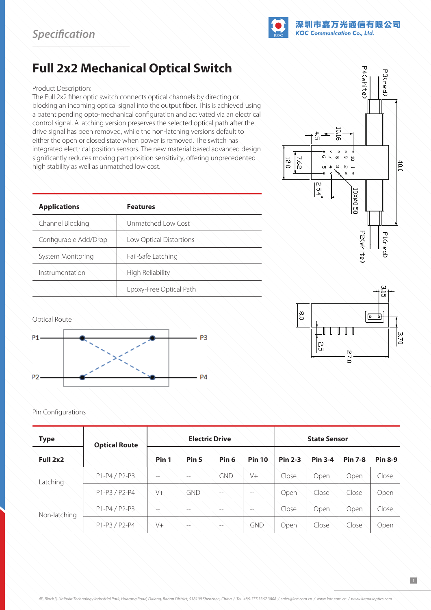

## **Full 2x2 Mechanical Optical Switch**

## Product Description:

The Full 2x2 fiber optic switch connects optical channels by directing or blocking an incoming optical signal into the output fiber. This is achieved using a patent pending opto-mechanical configuration and activated via an electrical control signal. A latching version preserves the selected optical path after the drive signal has been removed, while the non-latching versions default to either the open or closed state when power is removed. The switch has integrated electrical position sensors. The new material based advanced design significantly reduces moving part position sensitivity, offering unprecedented high stability as well as unmatched low cost.

| <b>Applications</b>   | <b>Features</b>         |  |  |  |
|-----------------------|-------------------------|--|--|--|
| Channel Blocking      | Unmatched Low Cost      |  |  |  |
| Configurable Add/Drop | Low Optical Distortions |  |  |  |
| System Monitoring     | Fail-Safe Latching      |  |  |  |
| Instrumentation       | High Reliability        |  |  |  |
|                       | Epoxy-Free Optical Path |  |  |  |

Optical Route



## Pin Configurations

| <b>Type</b>  | <b>Optical Route</b> | <b>Electric Drive</b> |                  |                   |               | <b>State Sensor</b> |                |                |                |
|--------------|----------------------|-----------------------|------------------|-------------------|---------------|---------------------|----------------|----------------|----------------|
| Full 2x2     |                      | Pin 1                 | Pin <sub>5</sub> | Pin <sub>6</sub>  | <b>Pin 10</b> | <b>Pin 2-3</b>      | <b>Pin 3-4</b> | <b>Pin 7-8</b> | <b>Pin 8-9</b> |
| Latching     | P1-P4/P2-P3          | $--$                  | $- -$            | GND               | $V +$         | Close               | Open           | Open           | Close          |
|              | P1-P3/P2-P4          | V <sup>+</sup>        | <b>GND</b>       | $- -$             | $-$           | Open                | Close          | Close          | Open           |
| Non-latching | $P1-P4/P2-P3$        | $--$                  | $-$              | $\qquad \qquad -$ | $-$           | Close               | Open           | Open           | Close          |
|              | P1-P3/P2-P4          | V <sup>+</sup>        | $- -$            | $\qquad \qquad -$ | GND           | Open                | Close          | Close          | Open           |